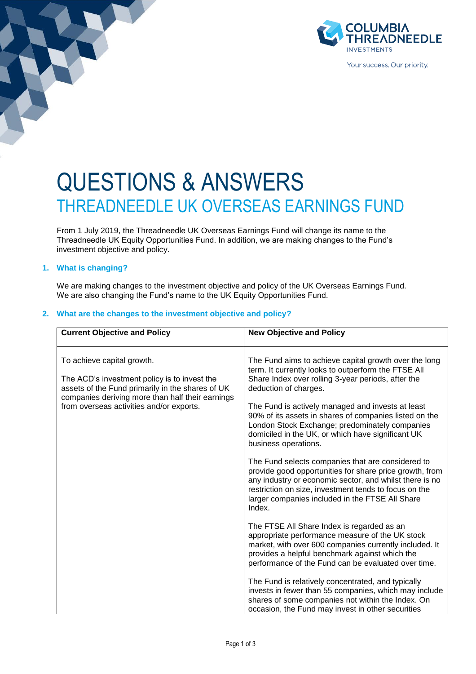

# QUESTIONS & ANSWERS THREADNEEDLE UK OVERSEAS EARNINGS FUND

From 1 July 2019, the Threadneedle UK Overseas Earnings Fund will change its name to the Threadneedle UK Equity Opportunities Fund. In addition, we are making changes to the Fund's investment objective and policy.

# **1. What is changing?**

We are making changes to the investment objective and policy of the UK Overseas Earnings Fund. We are also changing the Fund's name to the UK Equity Opportunities Fund.

# **2. What are the changes to the investment objective and policy?**

| <b>New Objective and Policy</b>                                                                                                                                                                                                                                                                                                                                                                                                                                                                                                                                                                                                                                                                                                            |
|--------------------------------------------------------------------------------------------------------------------------------------------------------------------------------------------------------------------------------------------------------------------------------------------------------------------------------------------------------------------------------------------------------------------------------------------------------------------------------------------------------------------------------------------------------------------------------------------------------------------------------------------------------------------------------------------------------------------------------------------|
| The Fund aims to achieve capital growth over the long<br>term. It currently looks to outperform the FTSE All<br>Share Index over rolling 3-year periods, after the<br>deduction of charges.<br>The Fund is actively managed and invests at least<br>90% of its assets in shares of companies listed on the<br>London Stock Exchange; predominately companies<br>domiciled in the UK, or which have significant UK<br>business operations.<br>The Fund selects companies that are considered to<br>provide good opportunities for share price growth, from<br>any industry or economic sector, and whilst there is no<br>restriction on size, investment tends to focus on the<br>larger companies included in the FTSE All Share<br>Index. |
| The FTSE All Share Index is regarded as an<br>appropriate performance measure of the UK stock<br>market, with over 600 companies currently included. It<br>provides a helpful benchmark against which the<br>performance of the Fund can be evaluated over time.<br>The Fund is relatively concentrated, and typically<br>invests in fewer than 55 companies, which may include<br>shares of some companies not within the Index. On                                                                                                                                                                                                                                                                                                       |
|                                                                                                                                                                                                                                                                                                                                                                                                                                                                                                                                                                                                                                                                                                                                            |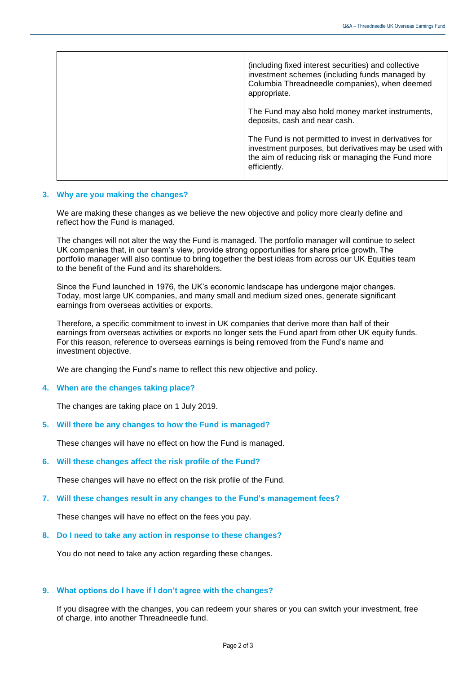| (including fixed interest securities) and collective<br>investment schemes (including funds managed by<br>Columbia Threadneedle companies), when deemed<br>appropriate.               |
|---------------------------------------------------------------------------------------------------------------------------------------------------------------------------------------|
| The Fund may also hold money market instruments,<br>deposits, cash and near cash.                                                                                                     |
| The Fund is not permitted to invest in derivatives for<br>investment purposes, but derivatives may be used with<br>the aim of reducing risk or managing the Fund more<br>efficiently. |

### **3. Why are you making the changes?**

We are making these changes as we believe the new objective and policy more clearly define and reflect how the Fund is managed.

The changes will not alter the way the Fund is managed. The portfolio manager will continue to select UK companies that, in our team's view, provide strong opportunities for share price growth. The portfolio manager will also continue to bring together the best ideas from across our UK Equities team to the benefit of the Fund and its shareholders.

Since the Fund launched in 1976, the UK's economic landscape has undergone major changes. Today, most large UK companies, and many small and medium sized ones, generate significant earnings from overseas activities or exports.

Therefore, a specific commitment to invest in UK companies that derive more than half of their earnings from overseas activities or exports no longer sets the Fund apart from other UK equity funds. For this reason, reference to overseas earnings is being removed from the Fund's name and investment objective.

We are changing the Fund's name to reflect this new objective and policy.

#### **4. When are the changes taking place?**

The changes are taking place on 1 July 2019.

**5. Will there be any changes to how the Fund is managed?**

These changes will have no effect on how the Fund is managed.

**6. Will these changes affect the risk profile of the Fund?**

These changes will have no effect on the risk profile of the Fund.

**7. Will these changes result in any changes to the Fund's management fees?**

These changes will have no effect on the fees you pay.

**8. Do I need to take any action in response to these changes?**

You do not need to take any action regarding these changes.

## **9. What options do I have if I don't agree with the changes?**

If you disagree with the changes, you can redeem your shares or you can switch your investment, free of charge, into another Threadneedle fund.